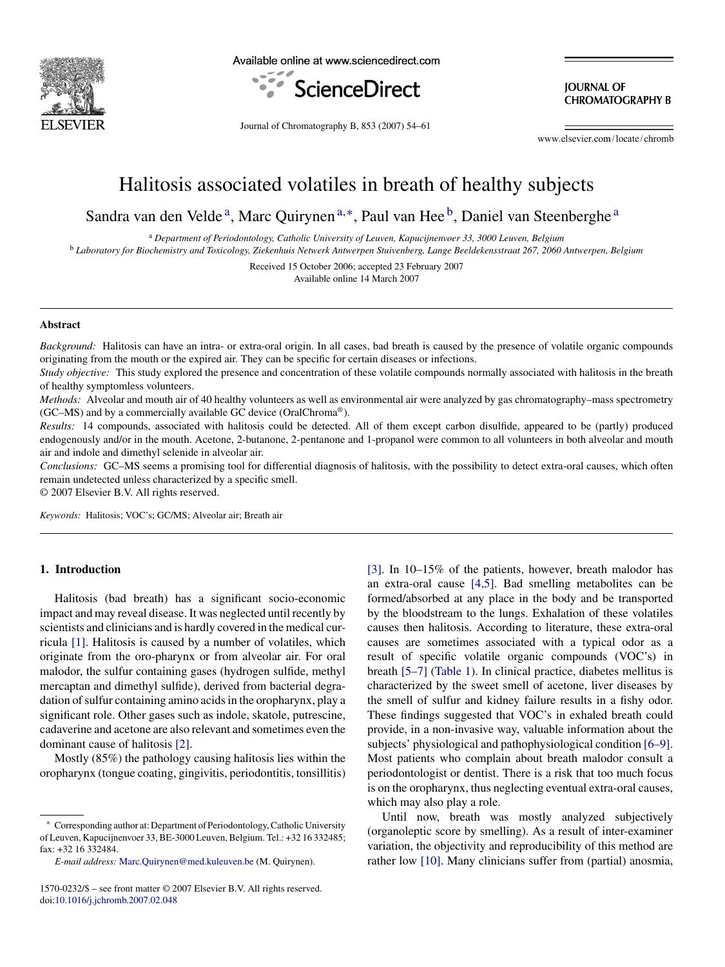

Available online at www.sciencedirect.com



**IOURNAL OF CHROMATOGRAPHY B** 

Journal of Chromatography B, 853 (2007) 54–61

www.elsevier.com/locate/chromb

# Halitosis associated volatiles in breath of healthy subjects

Sandra van den Velde<sup>a</sup>, Marc Quirynen<sup>a,\*</sup>, Paul van Hee<sup>b</sup>, Daniel van Steenberghe<sup>a</sup>

<sup>a</sup> *Department of Periodontology, Catholic University of Leuven, Kapucijnenvoer 33, 3000 Leuven, Belgium*

<sup>b</sup> *Laboratory for Biochemistry and Toxicology, Ziekenhuis Netwerk Antwerpen Stuivenberg, Lange Beeldekensstraat 267, 2060 Antwerpen, Belgium*

Received 15 October 2006; accepted 23 February 2007 Available online 14 March 2007

#### **Abstract**

*Background:* Halitosis can have an intra- or extra-oral origin. In all cases, bad breath is caused by the presence of volatile organic compounds originating from the mouth or the expired air. They can be specific for certain diseases or infections.

*Study objective:* This study explored the presence and concentration of these volatile compounds normally associated with halitosis in the breath of healthy symptomless volunteers.

*Methods:* Alveolar and mouth air of 40 healthy volunteers as well as environmental air were analyzed by gas chromatography–mass spectrometry (GC–MS) and by a commercially available GC device (OralChroma®).

*Results:* 14 compounds, associated with halitosis could be detected. All of them except carbon disulfide, appeared to be (partly) produced endogenously and/or in the mouth. Acetone, 2-butanone, 2-pentanone and 1-propanol were common to all volunteers in both alveolar and mouth air and indole and dimethyl selenide in alveolar air.

*Conclusions:* GC–MS seems a promising tool for differential diagnosis of halitosis, with the possibility to detect extra-oral causes, which often remain undetected unless characterized by a specific smell.

© 2007 Elsevier B.V. All rights reserved.

*Keywords:* Halitosis; VOC's; GC/MS; Alveolar air; Breath air

# **1. Introduction**

Halitosis (bad breath) has a significant socio-economic impact and may reveal disease. It was neglected until recently by scientists and clinicians and is hardly covered in the medical curricula [\[1\].](#page-6-0) Halitosis is caused by a number of volatiles, which originate from the oro-pharynx or from alveolar air. For oral malodor, the sulfur containing gases (hydrogen sulfide, methyl mercaptan and dimethyl sulfide), derived from bacterial degradation of sulfur containing amino acids in the oropharynx, play a significant role. Other gases such as indole, skatole, putrescine, cadaverine and acetone are also relevant and sometimes even the dominant cause of halitosis [\[2\].](#page-6-0)

Mostly (85%) the pathology causing halitosis lies within the oropharynx (tongue coating, gingivitis, periodontitis, tonsillitis) [\[3\].](#page-6-0) In 10–15% of the patients, however, breath malodor has an extra-oral cause [\[4,5\].](#page-6-0) Bad smelling metabolites can be formed/absorbed at any place in the body and be transported by the bloodstream to the lungs. Exhalation of these volatiles causes then halitosis. According to literature, these extra-oral causes are sometimes associated with a typical odor as a result of specific volatile organic compounds (VOC's) in breath [\[5–7\]](#page-6-0) [\(Table 1\).](#page-1-0) In clinical practice, diabetes mellitus is characterized by the sweet smell of acetone, liver diseases by the smell of sulfur and kidney failure results in a fishy odor. These findings suggested that VOC's in exhaled breath could provide, in a non-invasive way, valuable information about the subjects' physiological and pathophysiological condition [\[6–9\].](#page-6-0) Most patients who complain about breath malodor consult a periodontologist or dentist. There is a risk that too much focus is on the oropharynx, thus neglecting eventual extra-oral causes, which may also play a role.

Until now, breath was mostly analyzed subjectively (organoleptic score by smelling). As a result of inter-examiner variation, the objectivity and reproducibility of this method are rather low [\[10\].](#page-6-0) Many clinicians suffer from (partial) anosmia,

<sup>∗</sup> Corresponding author at: Department of Periodontology, Catholic University of Leuven, Kapucijnenvoer 33, BE-3000 Leuven, Belgium. Tel.: +32 16 332485; fax: +32 16 332484.

*E-mail address:* [Marc.Quirynen@med.kuleuven.be](mailto:Marc.Quirynen@med.kuleuven.be) (M. Quirynen).

<sup>1570-0232/\$ –</sup> see front matter © 2007 Elsevier B.V. All rights reserved. doi[:10.1016/j.jchromb.2007.02.048](dx.doi.org/10.1016/j.jchromb.2007.02.048)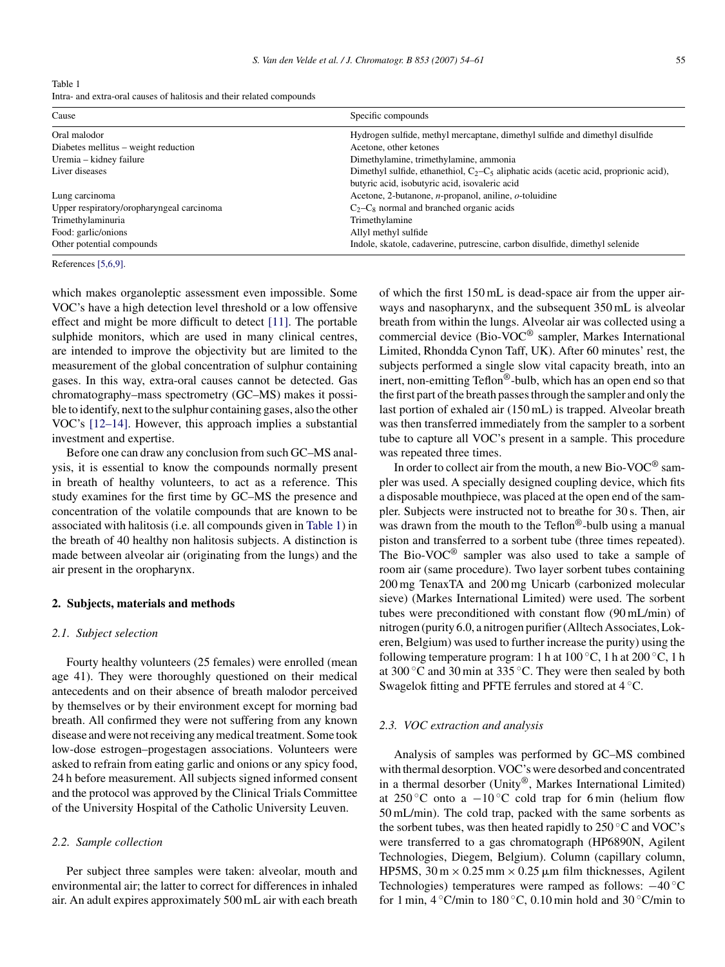<span id="page-1-0"></span>

| Table 1                                                               |
|-----------------------------------------------------------------------|
| Intra- and extra-oral causes of halitosis and their related compounds |

| Cause                                     | Specific compounds                                                                                                                           |
|-------------------------------------------|----------------------------------------------------------------------------------------------------------------------------------------------|
| Oral malodor                              | Hydrogen sulfide, methyl mercaptane, dimethyl sulfide and dimethyl disulfide                                                                 |
| Diabetes mellitus – weight reduction      | Acetone, other ketones                                                                                                                       |
| Uremia – kidney failure                   | Dimethylamine, trimethylamine, ammonia                                                                                                       |
| Liver diseases                            | Dimethyl sulfide, ethanethiol, $C_2 - C_5$ aliphatic acids (acetic acid, proprionic acid),<br>butyric acid, isobutyric acid, isovaleric acid |
| Lung carcinoma                            | Acetone, 2-butanone, n-propanol, aniline, o-toluidine                                                                                        |
| Upper respiratory/oropharyngeal carcinoma | $C_2-C_8$ normal and branched organic acids                                                                                                  |
| Trimethylaminuria                         | Trimethylamine                                                                                                                               |
| Food: garlic/onions                       | Allyl methyl sulfide                                                                                                                         |
| Other potential compounds                 | Indole, skatole, cadaverine, putrescine, carbon disulfide, dimethyl selenide                                                                 |
|                                           |                                                                                                                                              |

References [\[5,6,9\].](#page-6-0)

which makes organoleptic assessment even impossible. Some VOC's have a high detection level threshold or a low offensive effect and might be more difficult to detect [\[11\].](#page-6-0) The portable sulphide monitors, which are used in many clinical centres, are intended to improve the objectivity but are limited to the measurement of the global concentration of sulphur containing gases. In this way, extra-oral causes cannot be detected. Gas chromatography–mass spectrometry (GC–MS) makes it possible to identify, next to the sulphur containing gases, also the other VOC's [\[12–14\].](#page-6-0) However, this approach implies a substantial investment and expertise.

Before one can draw any conclusion from such GC–MS analysis, it is essential to know the compounds normally present in breath of healthy volunteers, to act as a reference. This study examines for the first time by GC–MS the presence and concentration of the volatile compounds that are known to be associated with halitosis (i.e. all compounds given in Table 1) in the breath of 40 healthy non halitosis subjects. A distinction is made between alveolar air (originating from the lungs) and the air present in the oropharynx.

## **2. Subjects, materials and methods**

#### *2.1. Subject selection*

Fourty healthy volunteers (25 females) were enrolled (mean age 41). They were thoroughly questioned on their medical antecedents and on their absence of breath malodor perceived by themselves or by their environment except for morning bad breath. All confirmed they were not suffering from any known disease and were not receiving any medical treatment. Some took low-dose estrogen–progestagen associations. Volunteers were asked to refrain from eating garlic and onions or any spicy food, 24 h before measurement. All subjects signed informed consent and the protocol was approved by the Clinical Trials Committee of the University Hospital of the Catholic University Leuven.

# *2.2. Sample collection*

Per subject three samples were taken: alveolar, mouth and environmental air; the latter to correct for differences in inhaled air. An adult expires approximately 500 mL air with each breath of which the first 150 mL is dead-space air from the upper airways and nasopharynx, and the subsequent 350 mL is alveolar breath from within the lungs. Alveolar air was collected using a commercial device (Bio-VOC® sampler, Markes International Limited, Rhondda Cynon Taff, UK). After 60 minutes' rest, the subjects performed a single slow vital capacity breath, into an inert, non-emitting Teflon®-bulb, which has an open end so that the first part of the breath passes through the sampler and only the last portion of exhaled air (150 mL) is trapped. Alveolar breath was then transferred immediately from the sampler to a sorbent tube to capture all VOC's present in a sample. This procedure was repeated three times.

In order to collect air from the mouth, a new Bio-VOC® sampler was used. A specially designed coupling device, which fits a disposable mouthpiece, was placed at the open end of the sampler. Subjects were instructed not to breathe for 30 s. Then, air was drawn from the mouth to the Teflon<sup>®</sup>-bulb using a manual piston and transferred to a sorbent tube (three times repeated). The Bio-VOC® sampler was also used to take a sample of room air (same procedure). Two layer sorbent tubes containing 200 mg TenaxTA and 200 mg Unicarb (carbonized molecular sieve) (Markes International Limited) were used. The sorbent tubes were preconditioned with constant flow (90 mL/min) of nitrogen (purity 6.0, a nitrogen purifier (Alltech Associates, Lokeren, Belgium) was used to further increase the purity) using the following temperature program: 1 h at  $100\,^{\circ}\text{C}$ , 1 h at  $200\,^{\circ}\text{C}$ , 1 h at 300 ◦C and 30 min at 335 ◦C. They were then sealed by both Swagelok fitting and PFTE ferrules and stored at 4 ◦C.

## *2.3. VOC extraction and analysis*

Analysis of samples was performed by GC–MS combined with thermal desorption. VOC's were desorbed and concentrated in a thermal desorber (Unity®, Markes International Limited) at 250 °C onto a  $-10$  °C cold trap for 6 min (helium flow 50 mL/min). The cold trap, packed with the same sorbents as the sorbent tubes, was then heated rapidly to  $250\,^{\circ}\text{C}$  and VOC's were transferred to a gas chromatograph (HP6890N, Agilent Technologies, Diegem, Belgium). Column (capillary column, HP5MS,  $30 \text{ m} \times 0.25 \text{ mm} \times 0.25 \mu \text{m}$  film thicknesses, Agilent Technologies) temperatures were ramped as follows:  $-40$  °C for 1 min,  $4^{\circ}$ C/min to 180  $^{\circ}$ C, 0.10 min hold and 30  $^{\circ}$ C/min to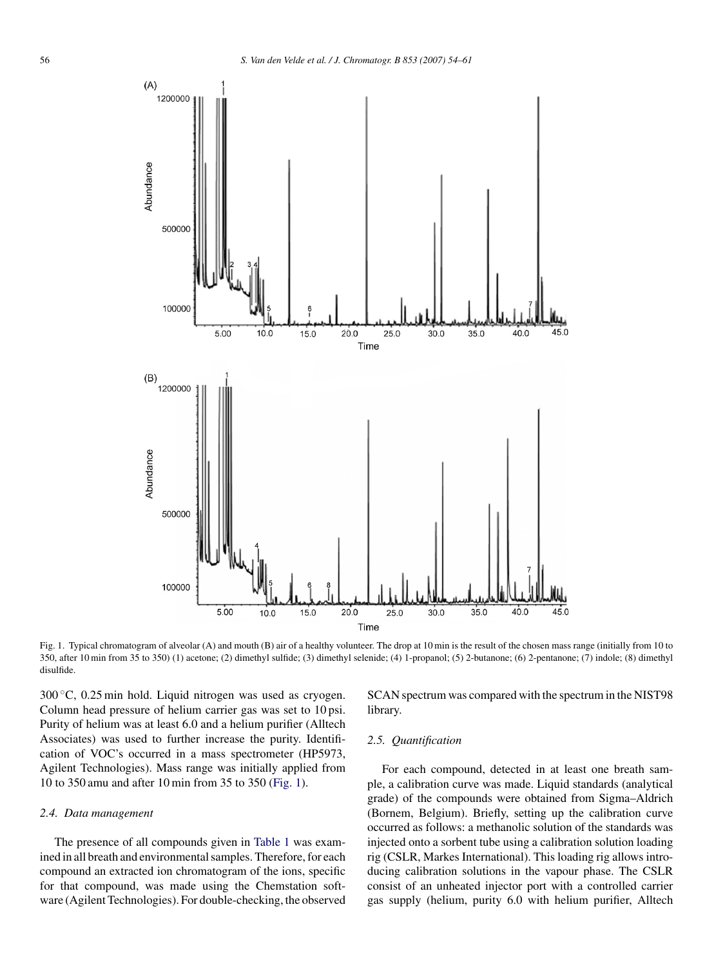

Fig. 1. Typical chromatogram of alveolar (A) and mouth (B) air of a healthy volunteer. The drop at 10 min is the result of the chosen mass range (initially from 10 to 350, after 10 min from 35 to 350) (1) acetone; (2) dimethyl sulfide; (3) dimethyl selenide; (4) 1-propanol; (5) 2-butanone; (6) 2-pentanone; (7) indole; (8) dimethyl disulfide.

300 ◦C, 0.25 min hold. Liquid nitrogen was used as cryogen. Column head pressure of helium carrier gas was set to 10 psi. Purity of helium was at least 6.0 and a helium purifier (Alltech Associates) was used to further increase the purity. Identification of VOC's occurred in a mass spectrometer (HP5973, Agilent Technologies). Mass range was initially applied from 10 to 350 amu and after 10 min from 35 to 350 (Fig. 1).

## *2.4. Data management*

The presence of all compounds given in [Table 1](#page-1-0) was examined in all breath and environmental samples. Therefore, for each compound an extracted ion chromatogram of the ions, specific for that compound, was made using the Chemstation software (Agilent Technologies). For double-checking, the observed

SCAN spectrum was compared with the spectrum in the NIST98 library.

## *2.5. Quantification*

For each compound, detected in at least one breath sample, a calibration curve was made. Liquid standards (analytical grade) of the compounds were obtained from Sigma–Aldrich (Bornem, Belgium). Briefly, setting up the calibration curve occurred as follows: a methanolic solution of the standards was injected onto a sorbent tube using a calibration solution loading rig (CSLR, Markes International). This loading rig allows introducing calibration solutions in the vapour phase. The CSLR consist of an unheated injector port with a controlled carrier gas supply (helium, purity 6.0 with helium purifier, Alltech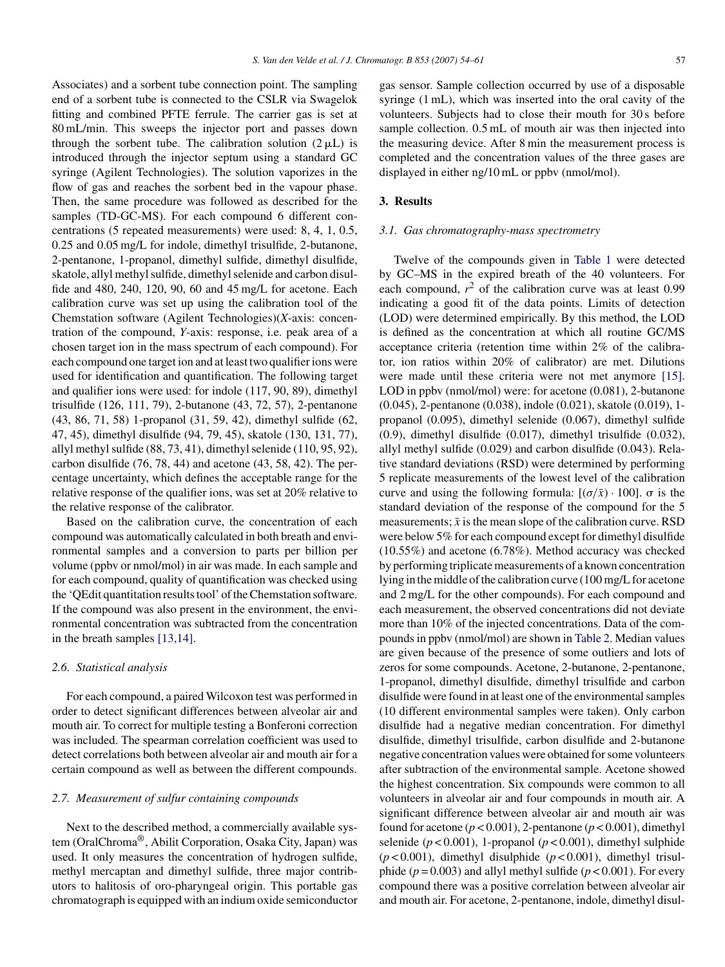Associates) and a sorbent tube connection point. The sampling end of a sorbent tube is connected to the CSLR via Swagelok fitting and combined PFTE ferrule. The carrier gas is set at 80 mL/min. This sweeps the injector port and passes down through the sorbent tube. The calibration solution  $(2 \mu L)$  is introduced through the injector septum using a standard GC syringe (Agilent Technologies). The solution vaporizes in the flow of gas and reaches the sorbent bed in the vapour phase. Then, the same procedure was followed as described for the samples (TD-GC-MS). For each compound 6 different concentrations (5 repeated measurements) were used: 8, 4, 1, 0.5, 0.25 and 0.05 mg/L for indole, dimethyl trisulfide, 2-butanone, 2-pentanone, 1-propanol, dimethyl sulfide, dimethyl disulfide, skatole, allyl methyl sulfide, dimethyl selenide and carbon disulfide and 480, 240, 120, 90, 60 and 45 mg/L for acetone. Each calibration curve was set up using the calibration tool of the Chemstation software (Agilent Technologies)(*X*-axis: concentration of the compound, *Y*-axis: response, i.e. peak area of a chosen target ion in the mass spectrum of each compound). For each compound one target ion and at least two qualifier ions were used for identification and quantification. The following target and qualifier ions were used: for indole (117, 90, 89), dimethyl trisulfide (126, 111, 79), 2-butanone (43, 72, 57), 2-pentanone (43, 86, 71, 58) 1-propanol (31, 59, 42), dimethyl sulfide (62, 47, 45), dimethyl disulfide (94, 79, 45), skatole (130, 131, 77), allyl methyl sulfide (88, 73, 41), dimethyl selenide (110, 95, 92), carbon disulfide (76, 78, 44) and acetone (43, 58, 42). The percentage uncertainty, which defines the acceptable range for the relative response of the qualifier ions, was set at 20% relative to the relative response of the calibrator.

Based on the calibration curve, the concentration of each compound was automatically calculated in both breath and environmental samples and a conversion to parts per billion per volume (ppbv or nmol/mol) in air was made. In each sample and for each compound, quality of quantification was checked using the 'QEdit quantitation results tool' of the Chemstation software. If the compound was also present in the environment, the environmental concentration was subtracted from the concentration in the breath samples [\[13,14\].](#page-6-0)

## *2.6. Statistical analysis*

For each compound, a paired Wilcoxon test was performed in order to detect significant differences between alveolar air and mouth air. To correct for multiple testing a Bonferoni correction was included. The spearman correlation coefficient was used to detect correlations both between alveolar air and mouth air for a certain compound as well as between the different compounds.

## *2.7. Measurement of sulfur containing compounds*

Next to the described method, a commercially available system (OralChroma®, Abilit Corporation, Osaka City, Japan) was used. It only measures the concentration of hydrogen sulfide, methyl mercaptan and dimethyl sulfide, three major contributors to halitosis of oro-pharyngeal origin. This portable gas chromatograph is equipped with an indium oxide semiconductor gas sensor. Sample collection occurred by use of a disposable syringe (1 mL), which was inserted into the oral cavity of the volunteers. Subjects had to close their mouth for 30 s before sample collection. 0.5 mL of mouth air was then injected into the measuring device. After 8 min the measurement process is completed and the concentration values of the three gases are displayed in either ng/10 mL or ppbv (nmol/mol).

## **3. Results**

#### *3.1. Gas chromatography-mass spectrometry*

Twelve of the compounds given in [Table 1](#page-1-0) were detected by GC–MS in the expired breath of the 40 volunteers. For each compound,  $r^2$  of the calibration curve was at least  $0.99$ indicating a good fit of the data points. Limits of detection (LOD) were determined empirically. By this method, the LOD is defined as the concentration at which all routine GC/MS acceptance criteria (retention time within 2% of the calibrator, ion ratios within 20% of calibrator) are met. Dilutions were made until these criteria were not met anymore [\[15\].](#page-6-0) LOD in ppbv (nmol/mol) were: for acetone (0.081), 2-butanone (0.045), 2-pentanone (0.038), indole (0.021), skatole (0.019), 1 propanol (0.095), dimethyl selenide (0.067), dimethyl sulfide (0.9), dimethyl disulfide (0.017), dimethyl trisulfide (0.032), allyl methyl sulfide (0.029) and carbon disulfide (0.043). Relative standard deviations (RSD) were determined by performing 5 replicate measurements of the lowest level of the calibration curve and using the following formula:  $[(\sigma/\bar{x}) \cdot 100]$ .  $\sigma$  is the standard deviation of the response of the compound for the 5 measurements;  $\bar{x}$  is the mean slope of the calibration curve. RSD were below 5% for each compound except for dimethyl disulfide (10.55%) and acetone (6.78%). Method accuracy was checked by performing triplicate measurements of a known concentration lying in the middle of the calibration curve (100 mg/L for acetone and 2 mg/L for the other compounds). For each compound and each measurement, the observed concentrations did not deviate more than 10% of the injected concentrations. Data of the compounds in ppbv (nmol/mol) are shown in [Table 2. M](#page-4-0)edian values are given because of the presence of some outliers and lots of zeros for some compounds. Acetone, 2-butanone, 2-pentanone, 1-propanol, dimethyl disulfide, dimethyl trisulfide and carbon disulfide were found in at least one of the environmental samples (10 different environmental samples were taken). Only carbon disulfide had a negative median concentration. For dimethyl disulfide, dimethyl trisulfide, carbon disulfide and 2-butanone negative concentration values were obtained for some volunteers after subtraction of the environmental sample. Acetone showed the highest concentration. Six compounds were common to all volunteers in alveolar air and four compounds in mouth air. A significant difference between alveolar air and mouth air was found for acetone  $(p < 0.001)$ , 2-pentanone  $(p < 0.001)$ , dimethyl selenide ( $p < 0.001$ ), 1-propanol ( $p < 0.001$ ), dimethyl sulphide  $(p<0.001)$ , dimethyl disulphide  $(p<0.001)$ , dimethyl trisulphide ( $p = 0.003$ ) and allyl methyl sulfide ( $p < 0.001$ ). For every compound there was a positive correlation between alveolar air and mouth air. For acetone, 2-pentanone, indole, dimethyl disul-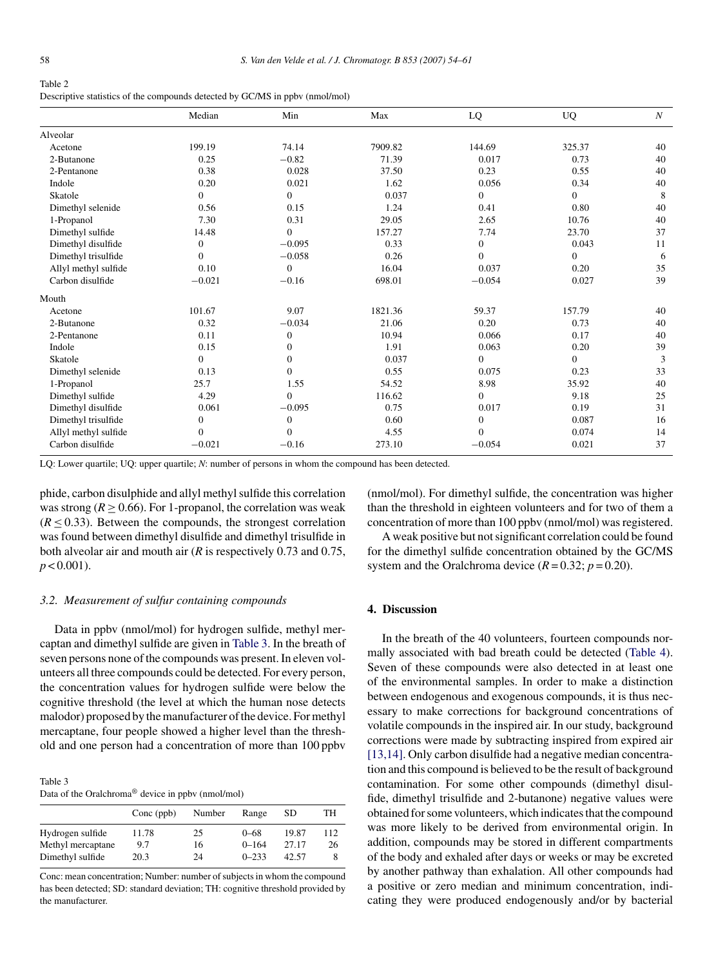<span id="page-4-0"></span>

| Table 2                                                                      |
|------------------------------------------------------------------------------|
| Descriptive statistics of the compounds detected by GC/MS in ppbv (nmol/mol) |

|                      | Median         | Min          | Max     | LQ               | <b>UQ</b> | $\boldsymbol{N}$ |
|----------------------|----------------|--------------|---------|------------------|-----------|------------------|
| Alveolar             |                |              |         |                  |           |                  |
| Acetone              | 199.19         | 74.14        | 7909.82 | 144.69           | 325.37    | 40               |
| 2-Butanone           | 0.25           | $-0.82$      | 71.39   | 0.017            | 0.73      | 40               |
| 2-Pentanone          | 0.38           | 0.028        | 37.50   | 0.23             | 0.55      | 40               |
| Indole               | 0.20           | 0.021        | 1.62    | 0.056            | 0.34      | 40               |
| Skatole              | $\Omega$       | $\Omega$     | 0.037   | $\overline{0}$   | $\Omega$  | 8                |
| Dimethyl selenide    | 0.56           | 0.15         | 1.24    | 0.41             | 0.80      | 40               |
| 1-Propanol           | 7.30           | 0.31         | 29.05   | 2.65             | 10.76     | 40               |
| Dimethyl sulfide     | 14.48          | $\Omega$     | 157.27  | 7.74             | 23.70     | 37               |
| Dimethyl disulfide   | $\mathbf{0}$   | $-0.095$     | 0.33    | $\mathbf{0}$     | 0.043     | 11               |
| Dimethyl trisulfide  | $\Omega$       | $-0.058$     | 0.26    | $\mathbf{0}$     | $\Omega$  | 6                |
| Allyl methyl sulfide | 0.10           | $\Omega$     | 16.04   | 0.037            | 0.20      | 35               |
| Carbon disulfide     | $-0.021$       | $-0.16$      | 698.01  | $-0.054$         | 0.027     | 39               |
| Mouth                |                |              |         |                  |           |                  |
| Acetone              | 101.67         | 9.07         | 1821.36 | 59.37            | 157.79    | 40               |
| 2-Butanone           | 0.32           | $-0.034$     | 21.06   | 0.20             | 0.73      | 40               |
| 2-Pentanone          | 0.11           | $\mathbf{0}$ | 10.94   | 0.066            | 0.17      | 40               |
| Indole               | 0.15           | $\mathbf{0}$ | 1.91    | 0.063            | 0.20      | 39               |
| Skatole              | $\overline{0}$ | $\Omega$     | 0.037   | $\mathbf{0}$     | $\Omega$  | 3                |
| Dimethyl selenide    | 0.13           | $\Omega$     | 0.55    | 0.075            | 0.23      | 33               |
| 1-Propanol           | 25.7           | 1.55         | 54.52   | 8.98             | 35.92     | 40               |
| Dimethyl sulfide     | 4.29           | $\theta$     | 116.62  | $\boldsymbol{0}$ | 9.18      | 25               |
| Dimethyl disulfide   | 0.061          | $-0.095$     | 0.75    | 0.017            | 0.19      | 31               |
| Dimethyl trisulfide  | $\mathbf{0}$   | $\mathbf{0}$ | 0.60    | $\mathbf{0}$     | 0.087     | 16               |
| Allyl methyl sulfide | $\mathbf{0}$   | $\Omega$     | 4.55    | $\mathbf{0}$     | 0.074     | 14               |
| Carbon disulfide     | $-0.021$       | $-0.16$      | 273.10  | $-0.054$         | 0.021     | 37               |

LQ: Lower quartile; UQ: upper quartile; *N*: number of persons in whom the compound has been detected.

phide, carbon disulphide and allyl methyl sulfide this correlation was strong  $(R > 0.66)$ . For 1-propanol, the correlation was weak  $(R < 0.33)$ . Between the compounds, the strongest correlation was found between dimethyl disulfide and dimethyl trisulfide in both alveolar air and mouth air (*R* is respectively 0.73 and 0.75,  $p < 0.001$ ).

#### *3.2. Measurement of sulfur containing compounds*

Data in ppbv (nmol/mol) for hydrogen sulfide, methyl mercaptan and dimethyl sulfide are given in Table 3. In the breath of seven persons none of the compounds was present. In eleven volunteers all three compounds could be detected. For every person, the concentration values for hydrogen sulfide were below the cognitive threshold (the level at which the human nose detects malodor) proposed by the manufacturer of the device. For methyl mercaptane, four people showed a higher level than the threshold and one person had a concentration of more than 100 ppbv

| Table 3                                                       |  |
|---------------------------------------------------------------|--|
| Data of the Oralchroma <sup>®</sup> device in ppbv (nmol/mol) |  |

| Conc (ppb) | Number | Range     | SD.   | TH  |
|------------|--------|-----------|-------|-----|
| 11.78      | 25     | $0 - 68$  | 19.87 | 112 |
| 9.7        | 16     | $0 - 164$ | 27.17 | 26  |
| 20.3       | 24     | $0 - 233$ | 42.57 |     |
|            |        |           |       |     |

Conc: mean concentration; Number: number of subjects in whom the compound has been detected; SD: standard deviation; TH: cognitive threshold provided by the manufacturer.

(nmol/mol). For dimethyl sulfide, the concentration was higher than the threshold in eighteen volunteers and for two of them a concentration of more than 100 ppbv (nmol/mol) was registered.

A weak positive but not significant correlation could be found for the dimethyl sulfide concentration obtained by the GC/MS system and the Oralchroma device  $(R = 0.32; p = 0.20)$ .

# **4. Discussion**

In the breath of the 40 volunteers, fourteen compounds normally associated with bad breath could be detected ([Table 4\).](#page-5-0) Seven of these compounds were also detected in at least one of the environmental samples. In order to make a distinction between endogenous and exogenous compounds, it is thus necessary to make corrections for background concentrations of volatile compounds in the inspired air. In our study, background corrections were made by subtracting inspired from expired air [\[13,14\]. O](#page-6-0)nly carbon disulfide had a negative median concentration and this compound is believed to be the result of background contamination. For some other compounds (dimethyl disulfide, dimethyl trisulfide and 2-butanone) negative values were obtained for some volunteers, which indicates that the compound was more likely to be derived from environmental origin. In addition, compounds may be stored in different compartments of the body and exhaled after days or weeks or may be excreted by another pathway than exhalation. All other compounds had a positive or zero median and minimum concentration, indicating they were produced endogenously and/or by bacterial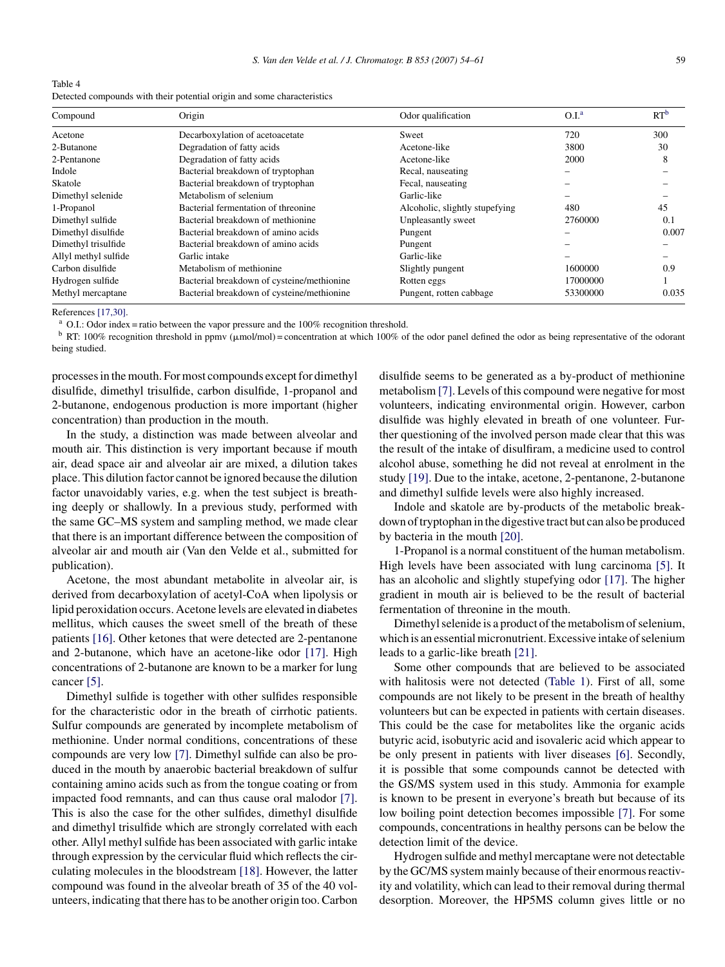<span id="page-5-0"></span>

| Table 4                                                                 |  |
|-------------------------------------------------------------------------|--|
| Detected compounds with their potential origin and some characteristics |  |

| Compound             | Origin                                     | Odor qualification             | O.I. <sup>a</sup> | RT <sup>b</sup> |
|----------------------|--------------------------------------------|--------------------------------|-------------------|-----------------|
| Acetone              | Decarboxylation of acetoacetate            | Sweet                          | 720               | 300             |
| 2-Butanone           | Degradation of fatty acids                 | Acetone-like                   | 3800              | 30              |
| 2-Pentanone          | Degradation of fatty acids                 | Acetone-like                   | 2000              | 8               |
| Indole               | Bacterial breakdown of tryptophan          | Recal, nauseating              |                   |                 |
| Skatole              | Bacterial breakdown of tryptophan          | Fecal, nauseating              |                   |                 |
| Dimethyl selenide    | Metabolism of selenium                     | Garlic-like                    |                   |                 |
| 1-Propanol           | Bacterial fermentation of threonine        | Alcoholic, slightly stupefying | 480               | 45              |
| Dimethyl sulfide     | Bacterial breakdown of methionine          | Unpleasantly sweet             | 2760000           | 0.1             |
| Dimethyl disulfide   | Bacterial breakdown of amino acids         | Pungent                        |                   | 0.007           |
| Dimethyl trisulfide  | Bacterial breakdown of amino acids         | Pungent                        |                   |                 |
| Allyl methyl sulfide | Garlic intake                              | Garlic-like                    |                   |                 |
| Carbon disulfide     | Metabolism of methionine                   | Slightly pungent               | 1600000           | 0.9             |
| Hydrogen sulfide     | Bacterial breakdown of cysteine/methionine | Rotten eggs                    | 17000000          |                 |
| Methyl mercaptane    | Bacterial breakdown of cysteine/methionine | Pungent, rotten cabbage        | 53300000          | 0.035           |

References [\[17,30\].](#page-6-0)

O.I.: Odor index = ratio between the vapor pressure and the 100% recognition threshold.

<sup>b</sup> RT: 100% recognition threshold in ppmv ( $\mu$ mol/mol) = concentration at which 100% of the odor panel defined the odor as being representative of the odorant being studied.

processes in the mouth. For most compounds except for dimethyl disulfide, dimethyl trisulfide, carbon disulfide, 1-propanol and 2-butanone, endogenous production is more important (higher concentration) than production in the mouth.

In the study, a distinction was made between alveolar and mouth air. This distinction is very important because if mouth air, dead space air and alveolar air are mixed, a dilution takes place. This dilution factor cannot be ignored because the dilution factor unavoidably varies, e.g. when the test subject is breathing deeply or shallowly. In a previous study, performed with the same GC–MS system and sampling method, we made clear that there is an important difference between the composition of alveolar air and mouth air (Van den Velde et al., submitted for publication).

Acetone, the most abundant metabolite in alveolar air, is derived from decarboxylation of acetyl-CoA when lipolysis or lipid peroxidation occurs. Acetone levels are elevated in diabetes mellitus, which causes the sweet smell of the breath of these patients [\[16\]. O](#page-6-0)ther ketones that were detected are 2-pentanone and 2-butanone, which have an acetone-like odor [\[17\].](#page-6-0) High concentrations of 2-butanone are known to be a marker for lung cancer [\[5\].](#page-6-0)

Dimethyl sulfide is together with other sulfides responsible for the characteristic odor in the breath of cirrhotic patients. Sulfur compounds are generated by incomplete metabolism of methionine. Under normal conditions, concentrations of these compounds are very low [\[7\].](#page-6-0) Dimethyl sulfide can also be produced in the mouth by anaerobic bacterial breakdown of sulfur containing amino acids such as from the tongue coating or from impacted food remnants, and can thus cause oral malodor [\[7\].](#page-6-0) This is also the case for the other sulfides, dimethyl disulfide and dimethyl trisulfide which are strongly correlated with each other. Allyl methyl sulfide has been associated with garlic intake through expression by the cervicular fluid which reflects the circulating molecules in the bloodstream [\[18\].](#page-7-0) However, the latter compound was found in the alveolar breath of 35 of the 40 volunteers, indicating that there has to be another origin too. Carbon

disulfide seems to be generated as a by-product of methionine metabolism [\[7\]. L](#page-6-0)evels of this compound were negative for most volunteers, indicating environmental origin. However, carbon disulfide was highly elevated in breath of one volunteer. Further questioning of the involved person made clear that this was the result of the intake of disulfiram, a medicine used to control alcohol abuse, something he did not reveal at enrolment in the study [\[19\]. D](#page-7-0)ue to the intake, acetone, 2-pentanone, 2-butanone and dimethyl sulfide levels were also highly increased.

Indole and skatole are by-products of the metabolic breakdown of tryptophan in the digestive tract but can also be produced by bacteria in the mouth [\[20\].](#page-7-0)

1-Propanol is a normal constituent of the human metabolism. High levels have been associated with lung carcinoma [\[5\].](#page-6-0) It has an alcoholic and slightly stupefying odor [\[17\].](#page-6-0) The higher gradient in mouth air is believed to be the result of bacterial fermentation of threonine in the mouth.

Dimethyl selenide is a product of the metabolism of selenium, which is an essential micronutrient. Excessive intake of selenium leads to a garlic-like breath [\[21\].](#page-7-0)

Some other compounds that are believed to be associated with halitosis were not detected ([Table 1\).](#page-1-0) First of all, some compounds are not likely to be present in the breath of healthy volunteers but can be expected in patients with certain diseases. This could be the case for metabolites like the organic acids butyric acid, isobutyric acid and isovaleric acid which appear to be only present in patients with liver diseases [\[6\].](#page-6-0) Secondly, it is possible that some compounds cannot be detected with the GS/MS system used in this study. Ammonia for example is known to be present in everyone's breath but because of its low boiling point detection becomes impossible [\[7\].](#page-6-0) For some compounds, concentrations in healthy persons can be below the detection limit of the device.

Hydrogen sulfide and methyl mercaptane were not detectable by the GC/MS system mainly because of their enormous reactivity and volatility, which can lead to their removal during thermal desorption. Moreover, the HP5MS column gives little or no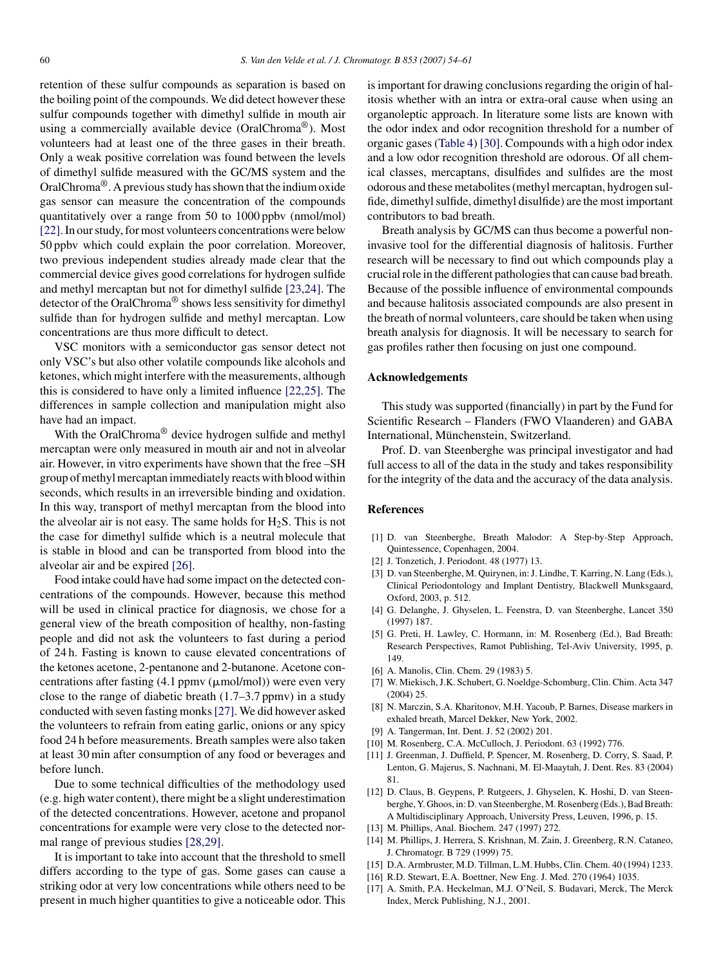<span id="page-6-0"></span>retention of these sulfur compounds as separation is based on the boiling point of the compounds. We did detect however these sulfur compounds together with dimethyl sulfide in mouth air using a commercially available device (OralChroma®). Most volunteers had at least one of the three gases in their breath. Only a weak positive correlation was found between the levels of dimethyl sulfide measured with the GC/MS system and the OralChroma®. A previous study has shown that the indium oxide gas sensor can measure the concentration of the compounds quantitatively over a range from 50 to 1000 ppbv (nmol/mol) [\[22\]. I](#page-7-0)n our study, for most volunteers concentrations were below 50 ppbv which could explain the poor correlation. Moreover, two previous independent studies already made clear that the commercial device gives good correlations for hydrogen sulfide and methyl mercaptan but not for dimethyl sulfide [\[23,24\].](#page-7-0) The detector of the OralChroma® shows less sensitivity for dimethyl sulfide than for hydrogen sulfide and methyl mercaptan. Low concentrations are thus more difficult to detect.

VSC monitors with a semiconductor gas sensor detect not only VSC's but also other volatile compounds like alcohols and ketones, which might interfere with the measurements, although this is considered to have only a limited influence [\[22,25\].](#page-7-0) The differences in sample collection and manipulation might also have had an impact.

With the OralChroma<sup>®</sup> device hydrogen sulfide and methyl mercaptan were only measured in mouth air and not in alveolar air. However, in vitro experiments have shown that the free –SH group of methyl mercaptan immediately reacts with blood within seconds, which results in an irreversible binding and oxidation. In this way, transport of methyl mercaptan from the blood into the alveolar air is not easy. The same holds for  $H_2S$ . This is not the case for dimethyl sulfide which is a neutral molecule that is stable in blood and can be transported from blood into the alveolar air and be expired [\[26\].](#page-7-0)

Food intake could have had some impact on the detected concentrations of the compounds. However, because this method will be used in clinical practice for diagnosis, we chose for a general view of the breath composition of healthy, non-fasting people and did not ask the volunteers to fast during a period of 24 h. Fasting is known to cause elevated concentrations of the ketones acetone, 2-pentanone and 2-butanone. Acetone concentrations after fasting  $(4.1$  ppmv  $(\mu$ mol/mol)) were even very close to the range of diabetic breath (1.7–3.7 ppmv) in a study conducted with seven fasting monks[\[27\]. W](#page-7-0)e did however asked the volunteers to refrain from eating garlic, onions or any spicy food 24 h before measurements. Breath samples were also taken at least 30 min after consumption of any food or beverages and before lunch.

Due to some technical difficulties of the methodology used (e.g. high water content), there might be a slight underestimation of the detected concentrations. However, acetone and propanol concentrations for example were very close to the detected normal range of previous studies [\[28,29\].](#page-7-0)

It is important to take into account that the threshold to smell differs according to the type of gas. Some gases can cause a striking odor at very low concentrations while others need to be present in much higher quantities to give a noticeable odor. This is important for drawing conclusions regarding the origin of halitosis whether with an intra or extra-oral cause when using an organoleptic approach. In literature some lists are known with the odor index and odor recognition threshold for a number of organic gases [\(Table 4\)](#page-5-0) [\[30\]. C](#page-7-0)ompounds with a high odor index and a low odor recognition threshold are odorous. Of all chemical classes, mercaptans, disulfides and sulfides are the most odorous and these metabolites (methyl mercaptan, hydrogen sulfide, dimethyl sulfide, dimethyl disulfide) are the most important contributors to bad breath.

Breath analysis by GC/MS can thus become a powerful noninvasive tool for the differential diagnosis of halitosis. Further research will be necessary to find out which compounds play a crucial role in the different pathologies that can cause bad breath. Because of the possible influence of environmental compounds and because halitosis associated compounds are also present in the breath of normal volunteers, care should be taken when using breath analysis for diagnosis. It will be necessary to search for gas profiles rather then focusing on just one compound.

## **Acknowledgements**

This study was supported (financially) in part by the Fund for Scientific Research – Flanders (FWO Vlaanderen) and GABA International, Münchenstein, Switzerland.

Prof. D. van Steenberghe was principal investigator and had full access to all of the data in the study and takes responsibility for the integrity of the data and the accuracy of the data analysis.

# **References**

- [1] D. van Steenberghe, Breath Malodor: A Step-by-Step Approach, Quintessence, Copenhagen, 2004.
- [2] J. Tonzetich, J. Periodont. 48 (1977) 13.
- [3] D. van Steenberghe, M. Quirynen, in: J. Lindhe, T. Karring, N. Lang (Eds.), Clinical Periodontology and Implant Dentistry, Blackwell Munksgaard, Oxford, 2003, p. 512.
- [4] G. Delanghe, J. Ghyselen, L. Feenstra, D. van Steenberghe, Lancet 350 (1997) 187.
- [5] G. Preti, H. Lawley, C. Hormann, in: M. Rosenberg (Ed.), Bad Breath: Research Perspectives, Ramot Publishing, Tel-Aviv University, 1995, p. 149.
- [6] A. Manolis, Clin. Chem. 29 (1983) 5.
- [7] W. Miekisch, J.K. Schubert, G. Noeldge-Schomburg, Clin. Chim. Acta 347 (2004) 25.
- [8] N. Marczin, S.A. Kharitonov, M.H. Yacoub, P. Barnes, Disease markers in exhaled breath, Marcel Dekker, New York, 2002.
- [9] A. Tangerman, Int. Dent. J. 52 (2002) 201.
- [10] M. Rosenberg, C.A. McCulloch, J. Periodont. 63 (1992) 776.
- [11] J. Greenman, J. Duffield, P. Spencer, M. Rosenberg, D. Corry, S. Saad, P. Lenton, G. Majerus, S. Nachnani, M. El-Maaytah, J. Dent. Res. 83 (2004) 81.
- [12] D. Claus, B. Geypens, P. Rutgeers, J. Ghyselen, K. Hoshi, D. van Steenberghe, Y. Ghoos, in: D. van Steenberghe, M. Rosenberg (Eds.), Bad Breath: A Multidisciplinary Approach, University Press, Leuven, 1996, p. 15.
- [13] M. Phillips, Anal. Biochem. 247 (1997) 272.
- [14] M. Phillips, J. Herrera, S. Krishnan, M. Zain, J. Greenberg, R.N. Cataneo, J. Chromatogr. B 729 (1999) 75.
- [15] D.A. Armbruster, M.D. Tillman, L.M. Hubbs, Clin. Chem. 40 (1994) 1233.
- [16] R.D. Stewart, E.A. Boettner, New Eng. J. Med. 270 (1964) 1035.
- [17] A. Smith, P.A. Heckelman, M.J. O'Neil, S. Budavari, Merck, The Merck Index, Merck Publishing, N.J., 2001.